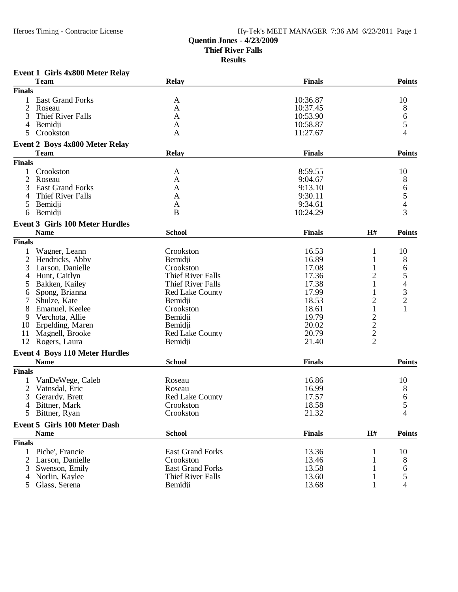# **Quentin Jones - 4/23/2009**

**Thief River Falls**

| <b>Finals</b><br><b>Team</b><br><b>Relay</b><br><b>Finals</b><br>10:36.87<br><b>East Grand Forks</b><br>1<br>A<br>$\overline{c}$<br>10:37.45<br>Roseau<br>A<br>3<br><b>Thief River Falls</b><br>10:53.90<br>A<br>10:58.87<br>4<br>Bemidji<br>A<br>5<br>Crookston<br>11:27.67<br>A<br><b>Event 2 Boys 4x800 Meter Relay</b><br><b>Finals</b><br><b>Team</b><br><b>Relay</b><br><b>Finals</b><br>Crookston<br>8:59.55<br>1<br>A<br>$\overline{c}$<br>Roseau<br>A<br>9:04.67<br>3<br><b>East Grand Forks</b><br>9:13.10<br>A<br>Thief River Falls<br>9:30.11<br>4<br>A<br>5<br>9:34.61<br>Bemidji<br>A<br>Bemidii<br>B<br>10:24.29<br>6<br><b>Event 3 Girls 100 Meter Hurdles</b><br><b>Name</b><br><b>School</b><br>H#<br><b>Finals</b> | <b>Points</b>            |
|---------------------------------------------------------------------------------------------------------------------------------------------------------------------------------------------------------------------------------------------------------------------------------------------------------------------------------------------------------------------------------------------------------------------------------------------------------------------------------------------------------------------------------------------------------------------------------------------------------------------------------------------------------------------------------------------------------------------------------------|--------------------------|
|                                                                                                                                                                                                                                                                                                                                                                                                                                                                                                                                                                                                                                                                                                                                       |                          |
|                                                                                                                                                                                                                                                                                                                                                                                                                                                                                                                                                                                                                                                                                                                                       |                          |
|                                                                                                                                                                                                                                                                                                                                                                                                                                                                                                                                                                                                                                                                                                                                       | 10                       |
|                                                                                                                                                                                                                                                                                                                                                                                                                                                                                                                                                                                                                                                                                                                                       | 8                        |
|                                                                                                                                                                                                                                                                                                                                                                                                                                                                                                                                                                                                                                                                                                                                       | $\sqrt{6}$               |
|                                                                                                                                                                                                                                                                                                                                                                                                                                                                                                                                                                                                                                                                                                                                       | 5                        |
|                                                                                                                                                                                                                                                                                                                                                                                                                                                                                                                                                                                                                                                                                                                                       | 4                        |
|                                                                                                                                                                                                                                                                                                                                                                                                                                                                                                                                                                                                                                                                                                                                       |                          |
|                                                                                                                                                                                                                                                                                                                                                                                                                                                                                                                                                                                                                                                                                                                                       | <b>Points</b>            |
|                                                                                                                                                                                                                                                                                                                                                                                                                                                                                                                                                                                                                                                                                                                                       |                          |
|                                                                                                                                                                                                                                                                                                                                                                                                                                                                                                                                                                                                                                                                                                                                       | 10                       |
|                                                                                                                                                                                                                                                                                                                                                                                                                                                                                                                                                                                                                                                                                                                                       | 8                        |
|                                                                                                                                                                                                                                                                                                                                                                                                                                                                                                                                                                                                                                                                                                                                       | 6                        |
|                                                                                                                                                                                                                                                                                                                                                                                                                                                                                                                                                                                                                                                                                                                                       | 5                        |
|                                                                                                                                                                                                                                                                                                                                                                                                                                                                                                                                                                                                                                                                                                                                       | $\overline{\mathcal{L}}$ |
|                                                                                                                                                                                                                                                                                                                                                                                                                                                                                                                                                                                                                                                                                                                                       | 3                        |
|                                                                                                                                                                                                                                                                                                                                                                                                                                                                                                                                                                                                                                                                                                                                       |                          |
|                                                                                                                                                                                                                                                                                                                                                                                                                                                                                                                                                                                                                                                                                                                                       | <b>Points</b>            |
| <b>Finals</b>                                                                                                                                                                                                                                                                                                                                                                                                                                                                                                                                                                                                                                                                                                                         |                          |
| Wagner, Leann<br>Crookston<br>16.53<br>1<br>1                                                                                                                                                                                                                                                                                                                                                                                                                                                                                                                                                                                                                                                                                         | 10                       |
| 16.89<br>$\overline{c}$<br>Hendricks, Abby<br>Bemidji<br>1                                                                                                                                                                                                                                                                                                                                                                                                                                                                                                                                                                                                                                                                            | 8                        |
| 3<br>17.08<br>Larson, Danielle<br>Crookston<br>1                                                                                                                                                                                                                                                                                                                                                                                                                                                                                                                                                                                                                                                                                      | 6                        |
| Hunt, Caitlyn<br><b>Thief River Falls</b><br>17.36<br>2<br>4                                                                                                                                                                                                                                                                                                                                                                                                                                                                                                                                                                                                                                                                          | 5                        |
| 17.38<br>Bakken, Kailey<br>Thief River Falls<br>1<br>5                                                                                                                                                                                                                                                                                                                                                                                                                                                                                                                                                                                                                                                                                | $\overline{\mathcal{L}}$ |
| 17.99<br>Spong, Brianna<br><b>Red Lake County</b><br>1<br>6                                                                                                                                                                                                                                                                                                                                                                                                                                                                                                                                                                                                                                                                           |                          |
| 18.53<br>$\overline{c}$<br>7<br>Shulze, Kate<br>Bemidji                                                                                                                                                                                                                                                                                                                                                                                                                                                                                                                                                                                                                                                                               | $\frac{3}{2}$            |
| 8<br>$\mathbf{1}$<br>18.61<br>Emanuel, Keelee<br>Crookston                                                                                                                                                                                                                                                                                                                                                                                                                                                                                                                                                                                                                                                                            | $\mathbf{1}$             |
| $\overline{c}$<br>19.79<br>9<br>Verchota, Allie<br>Bemidji                                                                                                                                                                                                                                                                                                                                                                                                                                                                                                                                                                                                                                                                            |                          |
| $\overline{c}$<br>Erpelding, Maren<br>20.02<br>10<br>Bemidji                                                                                                                                                                                                                                                                                                                                                                                                                                                                                                                                                                                                                                                                          |                          |
| $\overline{2}$<br>Magnell, Brooke<br>20.79<br><b>Red Lake County</b><br>11                                                                                                                                                                                                                                                                                                                                                                                                                                                                                                                                                                                                                                                            |                          |
| $\overline{2}$<br>12<br>21.40<br>Rogers, Laura<br>Bemidji                                                                                                                                                                                                                                                                                                                                                                                                                                                                                                                                                                                                                                                                             |                          |
| <b>Event 4 Boys 110 Meter Hurdles</b>                                                                                                                                                                                                                                                                                                                                                                                                                                                                                                                                                                                                                                                                                                 |                          |
| <b>Name</b><br><b>School</b><br><b>Finals</b>                                                                                                                                                                                                                                                                                                                                                                                                                                                                                                                                                                                                                                                                                         | Points                   |
| <b>Finals</b>                                                                                                                                                                                                                                                                                                                                                                                                                                                                                                                                                                                                                                                                                                                         |                          |
| 16.86<br>VanDeWege, Caleb<br>Roseau<br>1                                                                                                                                                                                                                                                                                                                                                                                                                                                                                                                                                                                                                                                                                              | 10                       |
| 16.99<br>2<br>Vatnsdal, Eric<br>Roseau                                                                                                                                                                                                                                                                                                                                                                                                                                                                                                                                                                                                                                                                                                | 8                        |
| 3<br>17.57<br>Gerardy, Brett<br>Red Lake County                                                                                                                                                                                                                                                                                                                                                                                                                                                                                                                                                                                                                                                                                       | 6                        |
| 4 Bittner, Mark<br>Crookston<br>18.58                                                                                                                                                                                                                                                                                                                                                                                                                                                                                                                                                                                                                                                                                                 | C                        |
| Crookston<br>21.32<br>5<br>Bittner, Ryan                                                                                                                                                                                                                                                                                                                                                                                                                                                                                                                                                                                                                                                                                              | 4                        |
| <b>Event 5 Girls 100 Meter Dash</b>                                                                                                                                                                                                                                                                                                                                                                                                                                                                                                                                                                                                                                                                                                   |                          |
| <b>Finals</b><br><b>School</b><br>H#<br><b>Name</b>                                                                                                                                                                                                                                                                                                                                                                                                                                                                                                                                                                                                                                                                                   | <b>Points</b>            |
| <b>Finals</b>                                                                                                                                                                                                                                                                                                                                                                                                                                                                                                                                                                                                                                                                                                                         |                          |
| 13.36<br>1 Piche', Francie<br><b>East Grand Forks</b><br>1                                                                                                                                                                                                                                                                                                                                                                                                                                                                                                                                                                                                                                                                            | 10                       |
| 2 Larson, Danielle<br>13.46<br>Crookston                                                                                                                                                                                                                                                                                                                                                                                                                                                                                                                                                                                                                                                                                              | 8                        |
| Swenson, Emily<br><b>East Grand Forks</b><br>13.58<br>3                                                                                                                                                                                                                                                                                                                                                                                                                                                                                                                                                                                                                                                                               | 6                        |
| <b>Thief River Falls</b><br>13.60<br>Norlin, Kaylee<br>4<br>1                                                                                                                                                                                                                                                                                                                                                                                                                                                                                                                                                                                                                                                                         | 5                        |
| 13.68<br>5<br>Glass, Serena<br>Bemidji<br>1                                                                                                                                                                                                                                                                                                                                                                                                                                                                                                                                                                                                                                                                                           | 4                        |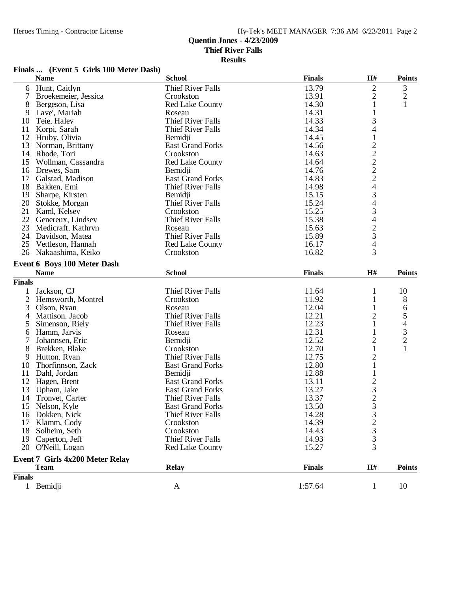**Results**

### **Finals ... (Event 5 Girls 100 Meter Dash)**

|                | <b>Name</b>                     | <b>School</b>            | <b>Finals</b> | H#                                              | <b>Points</b>                              |
|----------------|---------------------------------|--------------------------|---------------|-------------------------------------------------|--------------------------------------------|
| 6              | Hunt, Caitlyn                   | <b>Thief River Falls</b> | 13.79         | $\overline{c}$                                  | $\mathfrak{Z}$                             |
| 7              | Broekemeier, Jessica            | Crookston                | 13.91         | $\overline{c}$                                  | $\overline{c}$                             |
| 8              | Bergeson, Lisa                  | <b>Red Lake County</b>   | 14.30         | 1                                               | $\mathbf{1}$                               |
| 9              | Lave', Mariah                   | Roseau                   | 14.31         | 1                                               |                                            |
| 10             | Teie, Haley                     | <b>Thief River Falls</b> | 14.33         | 3                                               |                                            |
| 11             | Korpi, Sarah                    | <b>Thief River Falls</b> | 14.34         | 4                                               |                                            |
| 12             | Hruby, Olivia                   | Bemidji                  | 14.45         | $\mathbf{1}$                                    |                                            |
| 13             | Norman, Brittany                | <b>East Grand Forks</b>  | 14.56         |                                                 |                                            |
|                | 14 Rhode, Tori                  | Crookston                | 14.63         |                                                 |                                            |
| 15             | Wollman, Cassandra              | <b>Red Lake County</b>   | 14.64         |                                                 |                                            |
| 16             | Drewes, Sam                     | Bemidii                  | 14.76         |                                                 |                                            |
| 17             | Galstad, Madison                | <b>East Grand Forks</b>  | 14.83         |                                                 |                                            |
| 18             | Bakken, Emi                     | <b>Thief River Falls</b> | 14.98         |                                                 |                                            |
| 19             | Sharpe, Kirsten                 | Bemidji                  | 15.15         |                                                 |                                            |
| 20             | Stokke, Morgan                  | <b>Thief River Falls</b> | 15.24         |                                                 |                                            |
| 21             | Kaml, Kelsey                    | Crookston                | 15.25         |                                                 |                                            |
| 22             | Genereux, Lindsey               | <b>Thief River Falls</b> | 15.38         | 22224343423                                     |                                            |
| 23             | Medicraft, Kathryn              | Roseau                   | 15.63         |                                                 |                                            |
|                | 24 Davidson, Matea              | <b>Thief River Falls</b> | 15.89         |                                                 |                                            |
| 25             | Vettleson, Hannah               | <b>Red Lake County</b>   | 16.17         | 4                                               |                                            |
| 26             | Nakaashima, Keiko               | Crookston                | 16.82         | 3                                               |                                            |
|                | Event 6 Boys 100 Meter Dash     |                          |               |                                                 |                                            |
|                | <b>Name</b>                     | <b>School</b>            | <b>Finals</b> | H#                                              | <b>Points</b>                              |
| <b>Finals</b>  |                                 |                          |               |                                                 |                                            |
| 1              | Jackson, CJ                     | <b>Thief River Falls</b> | 11.64         | 1                                               | 10                                         |
| $\overline{2}$ | Hemsworth, Montrel              | Crookston                | 11.92         | 1                                               | 8                                          |
| 3              | Olson, Ryan                     | Roseau                   | 12.04         | 1                                               | 6                                          |
| 4              | Mattison, Jacob                 | <b>Thief River Falls</b> | 12.21         | 2                                               | 5                                          |
| 5              | Simenson, Riely                 | <b>Thief River Falls</b> | 12.23         | $\mathbf{1}$                                    | $\overline{\mathcal{L}}$                   |
| 6              | Hamm, Jarvis                    | Roseau                   | 12.31         | 1                                               |                                            |
| 7              | Johannsen, Eric                 | Bemidji                  | 12.52         | $\overline{c}$                                  | $\begin{array}{c} 3 \\ 2 \\ 1 \end{array}$ |
| 8              | Brekken, Blake                  | Crookston                | 12.70         | $\mathbf{1}$                                    |                                            |
| 9              | Hutton, Ryan                    | <b>Thief River Falls</b> | 12.75         | $\overline{c}$                                  |                                            |
| 10             | Thorfinnson, Zack               | <b>East Grand Forks</b>  | 12.80         | $\mathbf{1}$                                    |                                            |
| 11             | Dahl, Jordan                    | Bemidii                  | 12.88         | $\mathbf{1}$                                    |                                            |
| 12             | Hagen, Brent                    | <b>East Grand Forks</b>  | 13.11         |                                                 |                                            |
| 13             | Upham, Jake                     | <b>East Grand Forks</b>  | 13.27         | $\begin{array}{c} 2 \\ 3 \\ 2 \\ 3 \end{array}$ |                                            |
| 14             | Tronvet, Carter                 | <b>Thief River Falls</b> | 13.37         |                                                 |                                            |
| 15             | Nelson, Kyle                    | <b>East Grand Forks</b>  | 13.50         |                                                 |                                            |
|                | 16 Dokken, Nick                 | <b>Thief River Falls</b> | 14.28         |                                                 |                                            |
| 17             | Klamm, Cody                     | Crookston                | 14.39         |                                                 |                                            |
| 18             | Solheim, Seth                   | Crookston                | 14.43         |                                                 |                                            |
|                | 19 Caperton, Jeff               | <b>Thief River Falls</b> | 14.93         |                                                 |                                            |
|                |                                 | <b>Red Lake County</b>   |               | $\begin{array}{c} 3 \\ 2 \\ 3 \\ 3 \end{array}$ |                                            |
|                | 20 O'Neill, Logan               |                          | 15.27         |                                                 |                                            |
|                | Event 7 Girls 4x200 Meter Relay |                          |               |                                                 |                                            |
|                | <b>Team</b>                     | <b>Relay</b>             | <b>Finals</b> | H#                                              | <b>Points</b>                              |
| <b>Finals</b>  |                                 |                          |               |                                                 |                                            |
|                | 1 Bemidii                       | A                        | 1:57.64       | 1                                               | 10                                         |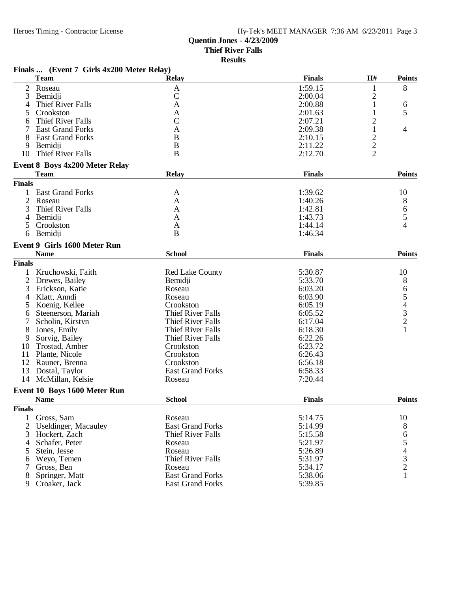# **Quentin Jones - 4/23/2009**

**Thief River Falls**

|                | Finals  (Event 7 Girls 4x200 Meter Relay) |                          |               |                         |                                                 |
|----------------|-------------------------------------------|--------------------------|---------------|-------------------------|-------------------------------------------------|
|                | <b>Team</b>                               | <b>Relay</b>             | <b>Finals</b> | H#                      | <b>Points</b>                                   |
| $\overline{2}$ | Roseau                                    | $\mathbf{A}$             | 1:59.15       | 1                       | 8                                               |
| 3              | Bemidji                                   | $\mathbf C$              | 2:00.04       | $\overline{\mathbf{c}}$ |                                                 |
| 4              | Thief River Falls                         | A                        | 2:00.88       | 1                       | 6                                               |
| 5              | Crookston                                 | A                        | 2:01.63       | 1                       | 5                                               |
| 6              | <b>Thief River Falls</b>                  | $\mathbf C$              | 2:07.21       | $\overline{c}$          |                                                 |
|                | <b>East Grand Forks</b>                   | A                        | 2:09.38       | 1                       | 4                                               |
|                | <b>East Grand Forks</b>                   | B                        | 2:10.15       |                         |                                                 |
| 9              | Bemidji                                   | B                        | 2:11.22       | $\frac{2}{2}$           |                                                 |
| 10             | Thief River Falls                         | $\bf{B}$                 | 2:12.70       |                         |                                                 |
|                | <b>Event 8 Boys 4x200 Meter Relay</b>     |                          |               |                         |                                                 |
|                | <b>Team</b>                               | <b>Relay</b>             | <b>Finals</b> |                         | <b>Points</b>                                   |
| <b>Finals</b>  |                                           |                          |               |                         |                                                 |
| 1              | <b>East Grand Forks</b>                   | A                        | 1:39.62       |                         | 10                                              |
| $\overline{2}$ | Roseau                                    | A                        | 1:40.26       |                         | 8                                               |
| 3              | Thief River Falls                         | A                        | 1:42.81       |                         | 6                                               |
| 4              | Bemidii                                   | A                        | 1:43.73       |                         | 5                                               |
| 5.             | Crookston                                 | A                        | 1:44.14       |                         | 4                                               |
| 6              | Bemidji                                   | $\bf{B}$                 | 1:46.34       |                         |                                                 |
|                | Event 9 Girls 1600 Meter Run              |                          |               |                         |                                                 |
|                | <b>Name</b>                               | <b>School</b>            | <b>Finals</b> |                         | <b>Points</b>                                   |
| <b>Finals</b>  |                                           |                          |               |                         |                                                 |
| 1              | Kruchowski, Faith                         | <b>Red Lake County</b>   | 5:30.87       |                         | 10                                              |
| 2              | Drewes, Bailey                            | Bemidji                  | 5:33.70       |                         | 8                                               |
| 3              | Erickson, Katie                           | Roseau                   | 6:03.20       |                         |                                                 |
| 4              | Klatt, Anndi                              | Roseau                   | 6:03.90       |                         | 65432                                           |
| 5              | Koenig, Kellee                            | Crookston                | 6:05.19       |                         |                                                 |
| 6              | Steenerson, Mariah                        | <b>Thief River Falls</b> | 6:05.52       |                         |                                                 |
|                | Scholin, Kirstyn                          | <b>Thief River Falls</b> | 6:17.04       |                         |                                                 |
| 8              | Jones, Emily                              | <b>Thief River Falls</b> | 6:18.30       |                         | $\mathbf{1}$                                    |
| 9              | Sorvig, Bailey                            | <b>Thief River Falls</b> | 6:22.26       |                         |                                                 |
| 10             | Trostad, Amber                            | Crookston                | 6:23.72       |                         |                                                 |
| 11             | Plante, Nicole                            | Crookston                | 6:26.43       |                         |                                                 |
| 12             | Rauner, Brenna                            | Crookston                | 6:56.18       |                         |                                                 |
| 13             | Dostal, Taylor                            | <b>East Grand Forks</b>  | 6:58.33       |                         |                                                 |
| 14             | McMillan, Kelsie                          | Roseau                   | 7:20.44       |                         |                                                 |
|                | Event 10 Boys 1600 Meter Run              |                          |               |                         |                                                 |
|                | <b>Name</b>                               | <b>School</b>            | <b>Finals</b> |                         | <b>Points</b>                                   |
| <b>Finals</b>  |                                           |                          |               |                         |                                                 |
| $\mathbf{1}$   | Gross, Sam                                | Roseau                   | 5:14.75       |                         | 10                                              |
| $\overline{2}$ | <b>Useldinger, Macauley</b>               | <b>East Grand Forks</b>  | 5:14.99       |                         | 8                                               |
| 3              | Hockert, Zach                             | Thief River Falls        | 5:15.58       |                         | 6                                               |
| 4              | Schafer, Peter                            | Roseau                   | 5:21.97       |                         |                                                 |
| 5              | Stein, Jesse                              | Roseau                   | 5:26.89       |                         | $\begin{array}{c} 5 \\ 4 \\ 3 \\ 2 \end{array}$ |
| 6              | Weyo, Temen                               | <b>Thief River Falls</b> | 5:31.97       |                         |                                                 |
| 7              | Gross, Ben                                | Roseau                   | 5:34.17       |                         |                                                 |
| 8              | Springer, Matt                            | <b>East Grand Forks</b>  | 5:38.06       |                         | $\mathbf{1}$                                    |
| 9              | Croaker, Jack                             | <b>East Grand Forks</b>  | 5:39.85       |                         |                                                 |
|                |                                           |                          |               |                         |                                                 |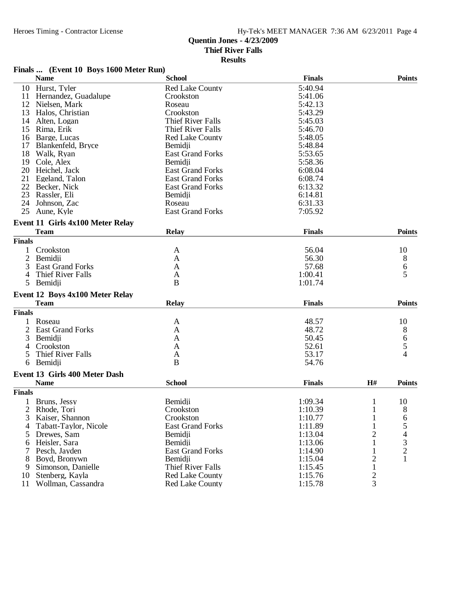#### **Results**

### **Finals ... (Event 10 Boys 1600 Meter Run)**

|               | <b>Name</b>                      | <b>School</b>            | <b>Finals</b> |                | <b>Points</b>  |
|---------------|----------------------------------|--------------------------|---------------|----------------|----------------|
|               | 10 Hurst, Tyler                  | <b>Red Lake County</b>   | 5:40.94       |                |                |
| 11            | Hernandez, Guadalupe             | Crookston                | 5:41.06       |                |                |
|               | 12 Nielsen, Mark                 | Roseau                   | 5:42.13       |                |                |
| 13            | Halos, Christian                 | Crookston                | 5:43.29       |                |                |
| 14            | Alten, Logan                     | Thief River Falls        | 5:45.03       |                |                |
| 15            | Rima, Erik                       | <b>Thief River Falls</b> | 5:46.70       |                |                |
| 16            | Barge, Lucas                     | <b>Red Lake County</b>   | 5:48.05       |                |                |
| 17            | Blankenfeld, Bryce               | Bemidji                  | 5:48.84       |                |                |
| 18            | Walk, Ryan                       | <b>East Grand Forks</b>  | 5:53.65       |                |                |
| 19            | Cole, Alex                       | Bemidii                  | 5:58.36       |                |                |
| 20            | Heichel, Jack                    | <b>East Grand Forks</b>  | 6:08.04       |                |                |
| 21            | Egeland, Talon                   | <b>East Grand Forks</b>  | 6:08.74       |                |                |
|               | 22 Becker, Nick                  | <b>East Grand Forks</b>  | 6:13.32       |                |                |
|               | 23 Rassler, Eli                  | Bemidji                  | 6:14.81       |                |                |
|               | 24 Johnson, Zac                  | Roseau                   | 6:31.33       |                |                |
|               | 25 Aune, Kyle                    | <b>East Grand Forks</b>  | 7:05.92       |                |                |
|               |                                  |                          |               |                |                |
|               | Event 11 Girls 4x100 Meter Relay |                          |               |                |                |
|               | <b>Team</b>                      | <b>Relay</b>             | <b>Finals</b> |                | <b>Points</b>  |
| <b>Finals</b> |                                  |                          |               |                |                |
|               | Crookston                        | A                        | 56.04         |                | 10             |
| 2             | Bemidji                          | A                        | 56.30         |                | 8              |
| 3             | <b>East Grand Forks</b>          | A                        | 57.68         |                | 6              |
|               | 4 Thief River Falls              | A                        | 1:00.41       |                | 5              |
| 5             | Bemidji                          | B                        | 1:01.74       |                |                |
|               |                                  |                          |               |                |                |
|               | Event 12 Boys 4x100 Meter Relay  |                          |               |                |                |
|               | <b>Team</b>                      | <b>Relay</b>             | <b>Finals</b> |                | <b>Points</b>  |
| <b>Finals</b> |                                  |                          |               |                |                |
|               | Roseau                           | A                        | 48.57         |                | 10             |
| 2             | <b>East Grand Forks</b>          | A                        | 48.72         |                | 8              |
| 3             | Bemidji                          | A                        | 50.45         |                | 6              |
| 4             | Crookston                        | A                        | 52.61         |                | 5              |
| 5             | Thief River Falls                | A                        | 53.17         |                | 4              |
| 6             | Bemidji                          | B                        | 54.76         |                |                |
|               | Event 13 Girls 400 Meter Dash    |                          |               |                |                |
|               | <b>Name</b>                      | <b>School</b>            | <b>Finals</b> | H#             | <b>Points</b>  |
| <b>Finals</b> |                                  |                          |               |                |                |
|               |                                  |                          |               |                |                |
| 1             | Bruns, Jessy                     | Bemidji                  | 1:09.34       | 1              | 10             |
|               | 2 Rhode, Tori                    | Crookston                | 1:10.39       | $\mathbf{1}$   | 8              |
| 3             | Kaiser, Shannon                  | Crookston                | 1:10.77       | 1              | 6              |
| 4             | Tabatt-Taylor, Nicole            | <b>East Grand Forks</b>  | 1:11.89       |                | 5              |
| 5             | Drewes, Sam                      | Bemidji                  | 1:13.04       | 2              | 4              |
| 6             | Heisler, Sara                    | Bemidji                  | 1:13.06       | 1              | 3              |
|               | Pesch, Jayden                    | <b>East Grand Forks</b>  | 1:14.90       |                | $\overline{c}$ |
| 8             | Boyd, Bronywn                    | Bemidji                  | 1:15.04       | $\overline{c}$ |                |
| 9             | Simonson, Danielle               | <b>Thief River Falls</b> | 1:15.45       | 1              |                |
| 10            | Stenberg, Kayla                  | <b>Red Lake County</b>   | 1:15.76       | 2              |                |
| 11            | Wollman, Cassandra               | <b>Red Lake County</b>   | 1:15.78       | 3              |                |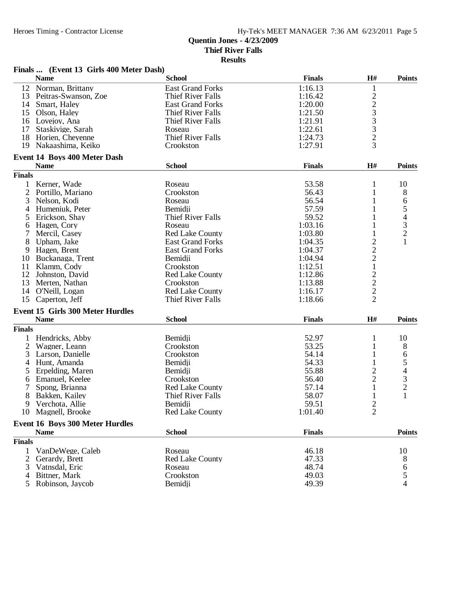|                | Finals  (Event 13 Girls 400 Meter Dash) |                          |               |                                |                                       |
|----------------|-----------------------------------------|--------------------------|---------------|--------------------------------|---------------------------------------|
|                | <b>Name</b>                             | <b>School</b>            | <b>Finals</b> | H#                             | <b>Points</b>                         |
| 12             | Norman, Brittany                        | <b>East Grand Forks</b>  | 1:16.13       | $\mathbf{1}$                   |                                       |
|                | 13 Peitras-Swanson, Zoe                 | <b>Thief River Falls</b> | 1:16.42       |                                |                                       |
|                | 14 Smart, Haley                         | <b>East Grand Forks</b>  | 1:20.00       | $\frac{2}{3}$<br>$\frac{3}{3}$ |                                       |
|                | 15 Olson, Haley                         | <b>Thief River Falls</b> | 1:21.50       |                                |                                       |
|                | 16 Lovejoy, Ana                         | Thief River Falls        | 1:21.91       |                                |                                       |
| 17             | Staskivige, Sarah                       | Roseau                   | 1:22.61       |                                |                                       |
| 18             | Horien, Cheyenne                        | <b>Thief River Falls</b> | 1:24.73       | $\overline{c}$                 |                                       |
| 19             | Nakaashima, Keiko                       | Crookston                | 1:27.91       | 3                              |                                       |
|                | <b>Event 14 Boys 400 Meter Dash</b>     |                          |               |                                |                                       |
|                | <b>Name</b>                             | <b>School</b>            | <b>Finals</b> | H#                             | <b>Points</b>                         |
| <b>Finals</b>  |                                         |                          |               |                                |                                       |
| 1              | Kerner, Wade                            | Roseau                   | 53.58         | $\mathbf{1}$                   | 10                                    |
| $\overline{2}$ | Portillo, Mariano                       | Crookston                | 56.43         | 1                              | 8                                     |
| 3              | Nelson, Kodi                            | Roseau                   | 56.54         | 1                              | 6                                     |
| 4              | Humeniuk, Peter                         | Bemidji                  | 57.59         | 1                              |                                       |
| 5              | Erickson, Shay                          | <b>Thief River Falls</b> | 59.52         | 1                              | $543$<br>$21$                         |
|                | Hagen, Cory                             |                          | 1:03.16       | 1                              |                                       |
| 6              |                                         | Roseau                   |               |                                |                                       |
| 7              | Mercil, Casey                           | <b>Red Lake County</b>   | 1:03.80       | 1                              |                                       |
| 8              | Upham, Jake                             | <b>East Grand Forks</b>  | 1:04.35       | $\overline{c}$                 |                                       |
| 9              | Hagen, Brent                            | <b>East Grand Forks</b>  | 1:04.37       | $\overline{c}$                 |                                       |
| 10             | Buckanaga, Trent                        | Bemidji                  | 1:04.94       | $\overline{c}$                 |                                       |
| 11             | Klamm, Cody                             | Crookston                | 1:12.51       | $\mathbf 1$                    |                                       |
| 12             | Johnston, David                         | <b>Red Lake County</b>   | 1:12.86       |                                |                                       |
| 13             | Merten, Nathan                          | Crookston                | 1:13.88       |                                |                                       |
|                | 14 O'Neill, Logan                       | <b>Red Lake County</b>   | 1:16.17       | $\frac{2}{2}$                  |                                       |
| 15             | Caperton, Jeff                          | <b>Thief River Falls</b> | 1:18.66       | $\overline{2}$                 |                                       |
|                | <b>Event 15 Girls 300 Meter Hurdles</b> |                          |               |                                |                                       |
|                | <b>Name</b>                             | <b>School</b>            | <b>Finals</b> | H#                             | <b>Points</b>                         |
| <b>Finals</b>  |                                         |                          |               |                                |                                       |
| 1              | Hendricks, Abby                         | Bemidii                  | 52.97         | $\mathbf{1}$                   | 10                                    |
| 2              | Wagner, Leann                           | Crookston                | 53.25         | 1                              | 8                                     |
| 3              |                                         | Crookston                | 54.14         | 1                              |                                       |
|                | Larson, Danielle                        |                          | 54.33         |                                | 6                                     |
| 4              | Hunt, Amanda                            | Bemidji                  |               | 1                              | 5                                     |
| 5              | Erpelding, Maren                        | Bemidii                  | 55.88         | $\overline{c}$                 | $\overline{4}$                        |
| 6              | Emanuel, Keelee                         | Crookston                | 56.40         | $\overline{2}$                 | $\frac{3}{2}$                         |
| 7              | Spong, Brianna                          | <b>Red Lake County</b>   | 57.14         | $\mathbf{1}$                   |                                       |
| 8              | Bakken, Kailey                          | <b>Thief River Falls</b> | 58.07         | 1                              | $\mathbf{1}$                          |
| 9              | Verchota, Allie                         | Bemidji                  | 59.51         | $\overline{\mathbf{c}}$        |                                       |
|                | 10 Magnell, Brooke                      | <b>Red Lake County</b>   | 1:01.40       | $\overline{2}$                 |                                       |
|                | <b>Event 16 Boys 300 Meter Hurdles</b>  |                          |               |                                |                                       |
|                | <b>Name</b>                             | <b>School</b>            | <b>Finals</b> |                                | <b>Points</b>                         |
| <b>Finals</b>  |                                         |                          |               |                                |                                       |
| 1              | VanDeWege, Caleb                        | Roseau                   | 46.18         |                                | 10                                    |
| 2              | Gerardy, Brett                          | <b>Red Lake County</b>   | 47.33         |                                | 8                                     |
| 3              | Vatnsdal, Eric                          | Roseau                   | 48.74         |                                |                                       |
| 4              | Bittner, Mark                           | Crookston                | 49.03         |                                | $\begin{array}{c} 6 \\ 5 \end{array}$ |
|                | Robinson, Jaycob                        | Bemidji                  | 49.39         |                                | $\overline{4}$                        |
| 5              |                                         |                          |               |                                |                                       |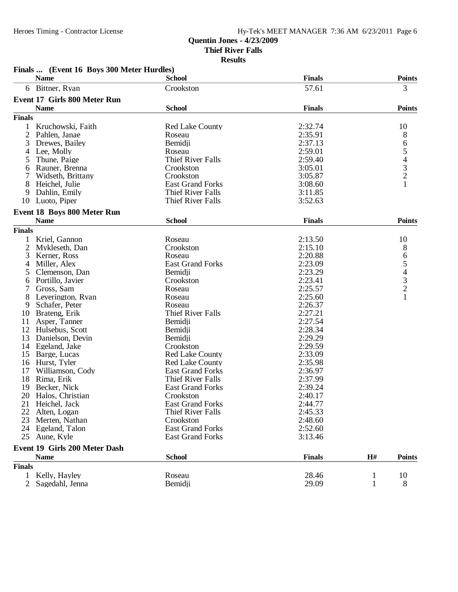| <b>Finals</b><br><b>Name</b><br><b>School</b><br>6 Bittner, Ryan<br>57.61<br>3<br>Crookston<br><b>Event 17 Girls 800 Meter Run</b><br><b>Name</b><br><b>School</b><br><b>Finals</b><br><b>Finals</b><br>2:32.74<br>10<br>Kruchowski, Faith<br><b>Red Lake County</b><br>1<br>2:35.91<br>2<br>8<br>Pahlen, Janae<br>Roseau<br>65432<br>2:37.13<br>3<br>Drewes, Bailey<br>Bemidji<br>2:59.01<br>Lee, Molly<br>Roseau<br>4<br><b>Thief River Falls</b><br>2:59.40<br>Thune, Paige<br>5<br>Rauner, Brenna<br>3:05.01<br>Crookston<br>6<br>Widseth, Brittany<br>Crookston<br>3:05.87<br>$\mathbf{1}$<br>8<br>3:08.60<br>Heichel, Julie<br><b>East Grand Forks</b><br>Thief River Falls<br>3:11.85<br>9<br>Dahlin, Emily<br>Luoto, Piper<br><b>Thief River Falls</b><br>3:52.63<br>10<br>Event 18 Boys 800 Meter Run<br><b>School</b><br><b>Points</b><br><b>Name</b><br><b>Finals</b><br><b>Finals</b><br>Kriel, Gannon<br>2:13.50<br>Roseau<br>10<br>1<br>2:15.10<br>$\overline{c}$<br>8<br>Mykleseth, Dan<br>Crookston<br>65432<br>2:20.88<br>3<br>Kerner, Ross<br>Roseau<br><b>East Grand Forks</b><br>2:23.09<br>Miller, Alex<br>4<br>2:23.29<br>Clemenson, Dan<br>Bemidji<br>5<br>2:23.41<br>Portillo, Javier<br>Crookston<br>6<br>2:25.57<br>Gross, Sam<br>Roseau<br>7<br>$\mathbf{1}$<br>2:25.60<br>8<br>Leverington, Ryan<br>Roseau<br>2:26.37<br>9<br>Schafer, Peter<br>Roseau<br><b>Thief River Falls</b><br>2:27.21<br>Brateng, Erik<br>10<br>2:27.54<br>Asper, Tanner<br>Bemidji<br>11<br>2:28.34<br>12<br>Hulsebus, Scott<br>Bemidji<br>2:29.29<br>13<br>Bemidji<br>Danielson, Devin<br>2:29.59<br>14<br>Egeland, Jake<br>Crookston<br>2:33.09<br>15<br>Barge, Lucas<br><b>Red Lake County</b><br>2:35.98<br>16<br>Hurst, Tyler<br><b>Red Lake County</b><br>17<br><b>East Grand Forks</b><br>2:36.97<br>Williamson, Cody<br>18<br><b>Thief River Falls</b><br>2:37.99<br>Rima, Erik<br>19<br>Becker, Nick<br>2:39.24<br><b>East Grand Forks</b><br>20<br>Halos, Christian<br>Crookston<br>2:40.17<br><b>East Grand Forks</b><br>2:44.77<br>Heichel, Jack<br>21<br>22<br><b>Thief River Falls</b><br>2:45.33<br>Alten, Logan<br>23<br>Merten, Nathan<br>Crookston<br>2:48.60<br><b>East Grand Forks</b><br>2:52.60<br>24<br>Egeland, Talon<br>Aune, Kyle<br><b>East Grand Forks</b><br>3:13.46<br>25<br>Event 19 Girls 200 Meter Dash | Finals  (Event 16 Boys 300 Meter Hurdles) |               |               |    |               |
|-----------------------------------------------------------------------------------------------------------------------------------------------------------------------------------------------------------------------------------------------------------------------------------------------------------------------------------------------------------------------------------------------------------------------------------------------------------------------------------------------------------------------------------------------------------------------------------------------------------------------------------------------------------------------------------------------------------------------------------------------------------------------------------------------------------------------------------------------------------------------------------------------------------------------------------------------------------------------------------------------------------------------------------------------------------------------------------------------------------------------------------------------------------------------------------------------------------------------------------------------------------------------------------------------------------------------------------------------------------------------------------------------------------------------------------------------------------------------------------------------------------------------------------------------------------------------------------------------------------------------------------------------------------------------------------------------------------------------------------------------------------------------------------------------------------------------------------------------------------------------------------------------------------------------------------------------------------------------------------------------------------------------------------------------------------------------------------------------------------------------------------------------------------------------------------------------------------------------------------------------------------------------------------------------------------------------------------------------|-------------------------------------------|---------------|---------------|----|---------------|
|                                                                                                                                                                                                                                                                                                                                                                                                                                                                                                                                                                                                                                                                                                                                                                                                                                                                                                                                                                                                                                                                                                                                                                                                                                                                                                                                                                                                                                                                                                                                                                                                                                                                                                                                                                                                                                                                                                                                                                                                                                                                                                                                                                                                                                                                                                                                               |                                           |               |               |    | <b>Points</b> |
|                                                                                                                                                                                                                                                                                                                                                                                                                                                                                                                                                                                                                                                                                                                                                                                                                                                                                                                                                                                                                                                                                                                                                                                                                                                                                                                                                                                                                                                                                                                                                                                                                                                                                                                                                                                                                                                                                                                                                                                                                                                                                                                                                                                                                                                                                                                                               |                                           |               |               |    |               |
|                                                                                                                                                                                                                                                                                                                                                                                                                                                                                                                                                                                                                                                                                                                                                                                                                                                                                                                                                                                                                                                                                                                                                                                                                                                                                                                                                                                                                                                                                                                                                                                                                                                                                                                                                                                                                                                                                                                                                                                                                                                                                                                                                                                                                                                                                                                                               |                                           |               |               |    |               |
|                                                                                                                                                                                                                                                                                                                                                                                                                                                                                                                                                                                                                                                                                                                                                                                                                                                                                                                                                                                                                                                                                                                                                                                                                                                                                                                                                                                                                                                                                                                                                                                                                                                                                                                                                                                                                                                                                                                                                                                                                                                                                                                                                                                                                                                                                                                                               |                                           |               |               |    | <b>Points</b> |
|                                                                                                                                                                                                                                                                                                                                                                                                                                                                                                                                                                                                                                                                                                                                                                                                                                                                                                                                                                                                                                                                                                                                                                                                                                                                                                                                                                                                                                                                                                                                                                                                                                                                                                                                                                                                                                                                                                                                                                                                                                                                                                                                                                                                                                                                                                                                               |                                           |               |               |    |               |
|                                                                                                                                                                                                                                                                                                                                                                                                                                                                                                                                                                                                                                                                                                                                                                                                                                                                                                                                                                                                                                                                                                                                                                                                                                                                                                                                                                                                                                                                                                                                                                                                                                                                                                                                                                                                                                                                                                                                                                                                                                                                                                                                                                                                                                                                                                                                               |                                           |               |               |    |               |
|                                                                                                                                                                                                                                                                                                                                                                                                                                                                                                                                                                                                                                                                                                                                                                                                                                                                                                                                                                                                                                                                                                                                                                                                                                                                                                                                                                                                                                                                                                                                                                                                                                                                                                                                                                                                                                                                                                                                                                                                                                                                                                                                                                                                                                                                                                                                               |                                           |               |               |    |               |
|                                                                                                                                                                                                                                                                                                                                                                                                                                                                                                                                                                                                                                                                                                                                                                                                                                                                                                                                                                                                                                                                                                                                                                                                                                                                                                                                                                                                                                                                                                                                                                                                                                                                                                                                                                                                                                                                                                                                                                                                                                                                                                                                                                                                                                                                                                                                               |                                           |               |               |    |               |
|                                                                                                                                                                                                                                                                                                                                                                                                                                                                                                                                                                                                                                                                                                                                                                                                                                                                                                                                                                                                                                                                                                                                                                                                                                                                                                                                                                                                                                                                                                                                                                                                                                                                                                                                                                                                                                                                                                                                                                                                                                                                                                                                                                                                                                                                                                                                               |                                           |               |               |    |               |
|                                                                                                                                                                                                                                                                                                                                                                                                                                                                                                                                                                                                                                                                                                                                                                                                                                                                                                                                                                                                                                                                                                                                                                                                                                                                                                                                                                                                                                                                                                                                                                                                                                                                                                                                                                                                                                                                                                                                                                                                                                                                                                                                                                                                                                                                                                                                               |                                           |               |               |    |               |
|                                                                                                                                                                                                                                                                                                                                                                                                                                                                                                                                                                                                                                                                                                                                                                                                                                                                                                                                                                                                                                                                                                                                                                                                                                                                                                                                                                                                                                                                                                                                                                                                                                                                                                                                                                                                                                                                                                                                                                                                                                                                                                                                                                                                                                                                                                                                               |                                           |               |               |    |               |
|                                                                                                                                                                                                                                                                                                                                                                                                                                                                                                                                                                                                                                                                                                                                                                                                                                                                                                                                                                                                                                                                                                                                                                                                                                                                                                                                                                                                                                                                                                                                                                                                                                                                                                                                                                                                                                                                                                                                                                                                                                                                                                                                                                                                                                                                                                                                               |                                           |               |               |    |               |
|                                                                                                                                                                                                                                                                                                                                                                                                                                                                                                                                                                                                                                                                                                                                                                                                                                                                                                                                                                                                                                                                                                                                                                                                                                                                                                                                                                                                                                                                                                                                                                                                                                                                                                                                                                                                                                                                                                                                                                                                                                                                                                                                                                                                                                                                                                                                               |                                           |               |               |    |               |
|                                                                                                                                                                                                                                                                                                                                                                                                                                                                                                                                                                                                                                                                                                                                                                                                                                                                                                                                                                                                                                                                                                                                                                                                                                                                                                                                                                                                                                                                                                                                                                                                                                                                                                                                                                                                                                                                                                                                                                                                                                                                                                                                                                                                                                                                                                                                               |                                           |               |               |    |               |
|                                                                                                                                                                                                                                                                                                                                                                                                                                                                                                                                                                                                                                                                                                                                                                                                                                                                                                                                                                                                                                                                                                                                                                                                                                                                                                                                                                                                                                                                                                                                                                                                                                                                                                                                                                                                                                                                                                                                                                                                                                                                                                                                                                                                                                                                                                                                               |                                           |               |               |    |               |
|                                                                                                                                                                                                                                                                                                                                                                                                                                                                                                                                                                                                                                                                                                                                                                                                                                                                                                                                                                                                                                                                                                                                                                                                                                                                                                                                                                                                                                                                                                                                                                                                                                                                                                                                                                                                                                                                                                                                                                                                                                                                                                                                                                                                                                                                                                                                               |                                           |               |               |    |               |
|                                                                                                                                                                                                                                                                                                                                                                                                                                                                                                                                                                                                                                                                                                                                                                                                                                                                                                                                                                                                                                                                                                                                                                                                                                                                                                                                                                                                                                                                                                                                                                                                                                                                                                                                                                                                                                                                                                                                                                                                                                                                                                                                                                                                                                                                                                                                               |                                           |               |               |    |               |
|                                                                                                                                                                                                                                                                                                                                                                                                                                                                                                                                                                                                                                                                                                                                                                                                                                                                                                                                                                                                                                                                                                                                                                                                                                                                                                                                                                                                                                                                                                                                                                                                                                                                                                                                                                                                                                                                                                                                                                                                                                                                                                                                                                                                                                                                                                                                               |                                           |               |               |    |               |
|                                                                                                                                                                                                                                                                                                                                                                                                                                                                                                                                                                                                                                                                                                                                                                                                                                                                                                                                                                                                                                                                                                                                                                                                                                                                                                                                                                                                                                                                                                                                                                                                                                                                                                                                                                                                                                                                                                                                                                                                                                                                                                                                                                                                                                                                                                                                               |                                           |               |               |    |               |
|                                                                                                                                                                                                                                                                                                                                                                                                                                                                                                                                                                                                                                                                                                                                                                                                                                                                                                                                                                                                                                                                                                                                                                                                                                                                                                                                                                                                                                                                                                                                                                                                                                                                                                                                                                                                                                                                                                                                                                                                                                                                                                                                                                                                                                                                                                                                               |                                           |               |               |    |               |
|                                                                                                                                                                                                                                                                                                                                                                                                                                                                                                                                                                                                                                                                                                                                                                                                                                                                                                                                                                                                                                                                                                                                                                                                                                                                                                                                                                                                                                                                                                                                                                                                                                                                                                                                                                                                                                                                                                                                                                                                                                                                                                                                                                                                                                                                                                                                               |                                           |               |               |    |               |
|                                                                                                                                                                                                                                                                                                                                                                                                                                                                                                                                                                                                                                                                                                                                                                                                                                                                                                                                                                                                                                                                                                                                                                                                                                                                                                                                                                                                                                                                                                                                                                                                                                                                                                                                                                                                                                                                                                                                                                                                                                                                                                                                                                                                                                                                                                                                               |                                           |               |               |    |               |
|                                                                                                                                                                                                                                                                                                                                                                                                                                                                                                                                                                                                                                                                                                                                                                                                                                                                                                                                                                                                                                                                                                                                                                                                                                                                                                                                                                                                                                                                                                                                                                                                                                                                                                                                                                                                                                                                                                                                                                                                                                                                                                                                                                                                                                                                                                                                               |                                           |               |               |    |               |
|                                                                                                                                                                                                                                                                                                                                                                                                                                                                                                                                                                                                                                                                                                                                                                                                                                                                                                                                                                                                                                                                                                                                                                                                                                                                                                                                                                                                                                                                                                                                                                                                                                                                                                                                                                                                                                                                                                                                                                                                                                                                                                                                                                                                                                                                                                                                               |                                           |               |               |    |               |
|                                                                                                                                                                                                                                                                                                                                                                                                                                                                                                                                                                                                                                                                                                                                                                                                                                                                                                                                                                                                                                                                                                                                                                                                                                                                                                                                                                                                                                                                                                                                                                                                                                                                                                                                                                                                                                                                                                                                                                                                                                                                                                                                                                                                                                                                                                                                               |                                           |               |               |    |               |
|                                                                                                                                                                                                                                                                                                                                                                                                                                                                                                                                                                                                                                                                                                                                                                                                                                                                                                                                                                                                                                                                                                                                                                                                                                                                                                                                                                                                                                                                                                                                                                                                                                                                                                                                                                                                                                                                                                                                                                                                                                                                                                                                                                                                                                                                                                                                               |                                           |               |               |    |               |
|                                                                                                                                                                                                                                                                                                                                                                                                                                                                                                                                                                                                                                                                                                                                                                                                                                                                                                                                                                                                                                                                                                                                                                                                                                                                                                                                                                                                                                                                                                                                                                                                                                                                                                                                                                                                                                                                                                                                                                                                                                                                                                                                                                                                                                                                                                                                               |                                           |               |               |    |               |
|                                                                                                                                                                                                                                                                                                                                                                                                                                                                                                                                                                                                                                                                                                                                                                                                                                                                                                                                                                                                                                                                                                                                                                                                                                                                                                                                                                                                                                                                                                                                                                                                                                                                                                                                                                                                                                                                                                                                                                                                                                                                                                                                                                                                                                                                                                                                               |                                           |               |               |    |               |
|                                                                                                                                                                                                                                                                                                                                                                                                                                                                                                                                                                                                                                                                                                                                                                                                                                                                                                                                                                                                                                                                                                                                                                                                                                                                                                                                                                                                                                                                                                                                                                                                                                                                                                                                                                                                                                                                                                                                                                                                                                                                                                                                                                                                                                                                                                                                               |                                           |               |               |    |               |
|                                                                                                                                                                                                                                                                                                                                                                                                                                                                                                                                                                                                                                                                                                                                                                                                                                                                                                                                                                                                                                                                                                                                                                                                                                                                                                                                                                                                                                                                                                                                                                                                                                                                                                                                                                                                                                                                                                                                                                                                                                                                                                                                                                                                                                                                                                                                               |                                           |               |               |    |               |
|                                                                                                                                                                                                                                                                                                                                                                                                                                                                                                                                                                                                                                                                                                                                                                                                                                                                                                                                                                                                                                                                                                                                                                                                                                                                                                                                                                                                                                                                                                                                                                                                                                                                                                                                                                                                                                                                                                                                                                                                                                                                                                                                                                                                                                                                                                                                               |                                           |               |               |    |               |
|                                                                                                                                                                                                                                                                                                                                                                                                                                                                                                                                                                                                                                                                                                                                                                                                                                                                                                                                                                                                                                                                                                                                                                                                                                                                                                                                                                                                                                                                                                                                                                                                                                                                                                                                                                                                                                                                                                                                                                                                                                                                                                                                                                                                                                                                                                                                               |                                           |               |               |    |               |
|                                                                                                                                                                                                                                                                                                                                                                                                                                                                                                                                                                                                                                                                                                                                                                                                                                                                                                                                                                                                                                                                                                                                                                                                                                                                                                                                                                                                                                                                                                                                                                                                                                                                                                                                                                                                                                                                                                                                                                                                                                                                                                                                                                                                                                                                                                                                               |                                           |               |               |    |               |
|                                                                                                                                                                                                                                                                                                                                                                                                                                                                                                                                                                                                                                                                                                                                                                                                                                                                                                                                                                                                                                                                                                                                                                                                                                                                                                                                                                                                                                                                                                                                                                                                                                                                                                                                                                                                                                                                                                                                                                                                                                                                                                                                                                                                                                                                                                                                               |                                           |               |               |    |               |
|                                                                                                                                                                                                                                                                                                                                                                                                                                                                                                                                                                                                                                                                                                                                                                                                                                                                                                                                                                                                                                                                                                                                                                                                                                                                                                                                                                                                                                                                                                                                                                                                                                                                                                                                                                                                                                                                                                                                                                                                                                                                                                                                                                                                                                                                                                                                               |                                           |               |               |    |               |
|                                                                                                                                                                                                                                                                                                                                                                                                                                                                                                                                                                                                                                                                                                                                                                                                                                                                                                                                                                                                                                                                                                                                                                                                                                                                                                                                                                                                                                                                                                                                                                                                                                                                                                                                                                                                                                                                                                                                                                                                                                                                                                                                                                                                                                                                                                                                               |                                           |               |               |    |               |
|                                                                                                                                                                                                                                                                                                                                                                                                                                                                                                                                                                                                                                                                                                                                                                                                                                                                                                                                                                                                                                                                                                                                                                                                                                                                                                                                                                                                                                                                                                                                                                                                                                                                                                                                                                                                                                                                                                                                                                                                                                                                                                                                                                                                                                                                                                                                               |                                           |               |               |    |               |
|                                                                                                                                                                                                                                                                                                                                                                                                                                                                                                                                                                                                                                                                                                                                                                                                                                                                                                                                                                                                                                                                                                                                                                                                                                                                                                                                                                                                                                                                                                                                                                                                                                                                                                                                                                                                                                                                                                                                                                                                                                                                                                                                                                                                                                                                                                                                               |                                           |               |               |    |               |
|                                                                                                                                                                                                                                                                                                                                                                                                                                                                                                                                                                                                                                                                                                                                                                                                                                                                                                                                                                                                                                                                                                                                                                                                                                                                                                                                                                                                                                                                                                                                                                                                                                                                                                                                                                                                                                                                                                                                                                                                                                                                                                                                                                                                                                                                                                                                               |                                           |               |               |    |               |
|                                                                                                                                                                                                                                                                                                                                                                                                                                                                                                                                                                                                                                                                                                                                                                                                                                                                                                                                                                                                                                                                                                                                                                                                                                                                                                                                                                                                                                                                                                                                                                                                                                                                                                                                                                                                                                                                                                                                                                                                                                                                                                                                                                                                                                                                                                                                               |                                           |               |               |    |               |
|                                                                                                                                                                                                                                                                                                                                                                                                                                                                                                                                                                                                                                                                                                                                                                                                                                                                                                                                                                                                                                                                                                                                                                                                                                                                                                                                                                                                                                                                                                                                                                                                                                                                                                                                                                                                                                                                                                                                                                                                                                                                                                                                                                                                                                                                                                                                               |                                           |               |               |    |               |
|                                                                                                                                                                                                                                                                                                                                                                                                                                                                                                                                                                                                                                                                                                                                                                                                                                                                                                                                                                                                                                                                                                                                                                                                                                                                                                                                                                                                                                                                                                                                                                                                                                                                                                                                                                                                                                                                                                                                                                                                                                                                                                                                                                                                                                                                                                                                               |                                           |               |               |    |               |
|                                                                                                                                                                                                                                                                                                                                                                                                                                                                                                                                                                                                                                                                                                                                                                                                                                                                                                                                                                                                                                                                                                                                                                                                                                                                                                                                                                                                                                                                                                                                                                                                                                                                                                                                                                                                                                                                                                                                                                                                                                                                                                                                                                                                                                                                                                                                               |                                           |               |               |    |               |
|                                                                                                                                                                                                                                                                                                                                                                                                                                                                                                                                                                                                                                                                                                                                                                                                                                                                                                                                                                                                                                                                                                                                                                                                                                                                                                                                                                                                                                                                                                                                                                                                                                                                                                                                                                                                                                                                                                                                                                                                                                                                                                                                                                                                                                                                                                                                               |                                           |               |               |    |               |
|                                                                                                                                                                                                                                                                                                                                                                                                                                                                                                                                                                                                                                                                                                                                                                                                                                                                                                                                                                                                                                                                                                                                                                                                                                                                                                                                                                                                                                                                                                                                                                                                                                                                                                                                                                                                                                                                                                                                                                                                                                                                                                                                                                                                                                                                                                                                               |                                           |               |               |    |               |
|                                                                                                                                                                                                                                                                                                                                                                                                                                                                                                                                                                                                                                                                                                                                                                                                                                                                                                                                                                                                                                                                                                                                                                                                                                                                                                                                                                                                                                                                                                                                                                                                                                                                                                                                                                                                                                                                                                                                                                                                                                                                                                                                                                                                                                                                                                                                               | <b>Name</b>                               | <b>School</b> | <b>Finals</b> | H# | <b>Points</b> |
| <b>Finals</b>                                                                                                                                                                                                                                                                                                                                                                                                                                                                                                                                                                                                                                                                                                                                                                                                                                                                                                                                                                                                                                                                                                                                                                                                                                                                                                                                                                                                                                                                                                                                                                                                                                                                                                                                                                                                                                                                                                                                                                                                                                                                                                                                                                                                                                                                                                                                 |                                           |               |               |    |               |
| Roseau<br>28.46<br>10<br>$\mathbf{1}$<br>Kelly, Hayley<br>$\mathbf{1}$                                                                                                                                                                                                                                                                                                                                                                                                                                                                                                                                                                                                                                                                                                                                                                                                                                                                                                                                                                                                                                                                                                                                                                                                                                                                                                                                                                                                                                                                                                                                                                                                                                                                                                                                                                                                                                                                                                                                                                                                                                                                                                                                                                                                                                                                        |                                           |               |               |    |               |
| $\overline{2}$<br>Bemidji<br>29.09<br>$\mathbf{1}$<br>8<br>Sagedahl, Jenna                                                                                                                                                                                                                                                                                                                                                                                                                                                                                                                                                                                                                                                                                                                                                                                                                                                                                                                                                                                                                                                                                                                                                                                                                                                                                                                                                                                                                                                                                                                                                                                                                                                                                                                                                                                                                                                                                                                                                                                                                                                                                                                                                                                                                                                                    |                                           |               |               |    |               |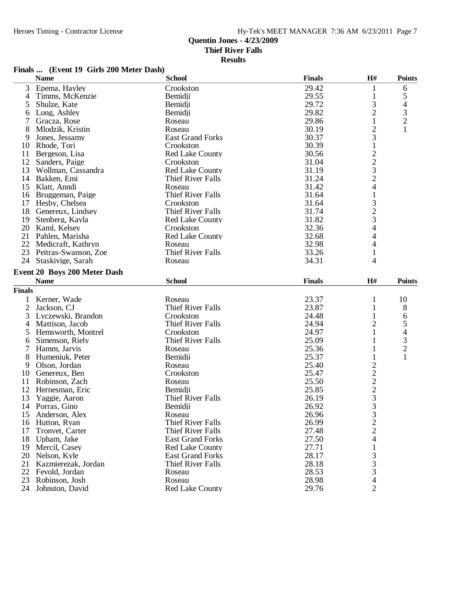**Results**

#### **Finals ... (Event 19 Girls 200 Meter Dash)**

|                | <b>Name</b>                                 | <b>School</b>            | <b>Finals</b> | $\mathbf{H}$ #                                  | <b>Points</b>            |
|----------------|---------------------------------------------|--------------------------|---------------|-------------------------------------------------|--------------------------|
| 3              | Epema, Hayley                               | Crookston                | 29.42         | 1                                               | 6                        |
| 4              | Timms, McKenzie                             | Bemidji                  | 29.55         | $\mathbf{1}$                                    | 5                        |
| 5              | Shulze, Kate                                | Bemidji                  | 29.72         | 3                                               | $\overline{\mathcal{L}}$ |
| 6              | Long, Ashley                                | Bemidji                  | 29.82         | $\overline{c}$                                  |                          |
| 7              | Gracza, Rose                                | Roseau                   | 29.86         | $\mathbf{1}$                                    | $\frac{3}{2}$            |
| 8              | Mlodzik, Kristin                            | Roseau                   | 30.19         | $\overline{c}$                                  | 1                        |
| 9              | Jones, Jessamy                              | <b>East Grand Forks</b>  | 30.37         | 3                                               |                          |
| 10             | Rhode, Tori                                 | Crookston                | 30.39         | $\,1$                                           |                          |
| 11             | Bergeson, Lisa                              | <b>Red Lake County</b>   | 30.56         |                                                 |                          |
| 12             | Sanders, Paige                              | Crookston                | 31.04         | $\begin{array}{c} 2 \\ 2 \\ 3 \\ 2 \end{array}$ |                          |
| 13             | Wollman, Cassandra                          | <b>Red Lake County</b>   | 31.19         |                                                 |                          |
| 14             | Bakken, Emi                                 | Thief River Falls        | 31.24         |                                                 |                          |
| 15             | Klatt, Anndi                                | Roseau                   | 31.42         | $\overline{4}$                                  |                          |
| 16             | Bruggeman, Paige                            | Thief River Falls        | 31.64         | $\,1$                                           |                          |
| 17             | Hesby, Chelsea                              | Crookston                | 31.64         |                                                 |                          |
| 18             | Genereux, Lindsey                           | Thief River Falls        | 31.74         |                                                 |                          |
| 19             | Stenberg, Kayla                             | Red Lake County          | 31.82         |                                                 |                          |
| 20             | Kaml, Kelsey                                | Crookston                | 32.36         | $\begin{array}{c} 3 \\ 2 \\ 3 \\ 4 \end{array}$ |                          |
| 21             | Pahlen, Marisha                             | <b>Red Lake County</b>   | 32.68         | 4                                               |                          |
| 22             | Medicraft, Kathryn                          | Roseau                   | 32.98         | 4                                               |                          |
| 23             | Peitras-Swanson, Zoe                        | <b>Thief River Falls</b> | 33.26         | $\mathbf{1}$                                    |                          |
| 24             | Staskivige, Sarah                           | Roseau                   | 34.31         | 4                                               |                          |
|                |                                             |                          |               |                                                 |                          |
|                | Event 20 Boys 200 Meter Dash<br><b>Name</b> | <b>School</b>            | <b>Finals</b> | H#                                              | <b>Points</b>            |
|                |                                             |                          |               |                                                 |                          |
| <b>Finals</b>  |                                             |                          |               |                                                 |                          |
| 1              | Kerner, Wade                                | Roseau                   | 23.37         | 1                                               | 10                       |
| $\overline{c}$ | Jackson, CJ                                 | <b>Thief River Falls</b> | 23.87         | 1                                               | 8                        |
| 3              | Lyczewski, Brandon                          | Crookston                | 24.48         | 1                                               | 6                        |
| 4              | Mattison, Jacob                             | Thief River Falls        | 24.94         | $\overline{c}$                                  | 5                        |
| 5              | Hemsworth, Montrel                          | Crookston                | 24.97         | $\mathbf{1}$                                    | $\overline{\mathcal{L}}$ |
| 6              | Simenson, Riely                             | Thief River Falls        | 25.09         |                                                 | $\frac{3}{2}$            |
| $\tau$         | Hamm, Jarvis                                | Roseau                   | 25.36         | 1                                               |                          |
| 8              | Humeniuk, Peter                             | Bemidji                  | 25.37         | 1                                               | $\mathbf{1}$             |
| 9              | Olson, Jordan                               | Roseau                   | 25.40         |                                                 |                          |
|                | 10 Genereux, Ben                            | Crookston                | 25.47         | $\frac{2}{2}$ $\frac{2}{3}$                     |                          |
| 11             | Robinson, Zach                              | Roseau                   | 25.50         |                                                 |                          |
| 12             | Hernesman, Eric                             | Bemidji                  | 25.85         |                                                 |                          |
| 13             | Yaggie, Aaron                               | <b>Thief River Falls</b> | 26.19         |                                                 |                          |
|                | 14 Porras, Gino                             | Bemidji                  | 26.92         | $\overline{3}$                                  |                          |
| 15             | Anderson, Alex                              | Roseau                   | 26.96         | $\begin{array}{c} 3 \\ 2 \\ 2 \\ 4 \end{array}$ |                          |
| 16             | Hutton, Ryan                                | <b>Thief River Falls</b> | 26.99         |                                                 |                          |
| 17             | Tronvet, Carter                             | <b>Thief River Falls</b> | 27.48         |                                                 |                          |
| 18             | Upham, Jake                                 | <b>East Grand Forks</b>  | 27.50         |                                                 |                          |
| 19             | Mercil, Casey                               | <b>Red Lake County</b>   | 27.71         | 1                                               |                          |
| 20             | Nelson, Kyle                                | <b>East Grand Forks</b>  | 28.17         |                                                 |                          |
| 21             | Kazmierezak, Jordan                         | <b>Thief River Falls</b> | 28.18         | $\begin{array}{c} 3 \\ 3 \\ 3 \end{array}$      |                          |
| 22             | Fevold, Jordan                              | Roseau                   | 28.53         |                                                 |                          |
| 23             | Robinson, Josh                              | Roseau                   | 28.98         | 4                                               |                          |
| 24             | Johnston, David                             | Red Lake County          | 29.76         | $\overline{2}$                                  |                          |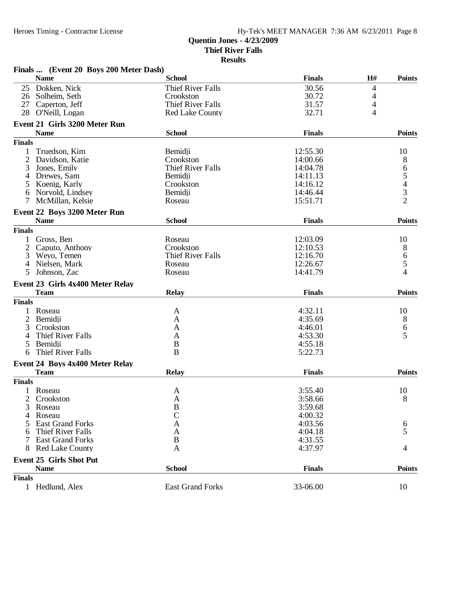|               | Finals  (Event 20 Boys 200 Meter Dash) |                          |               |    |                                            |
|---------------|----------------------------------------|--------------------------|---------------|----|--------------------------------------------|
|               | <b>Name</b>                            | <b>School</b>            | <b>Finals</b> | H# | <b>Points</b>                              |
| 25            | Dokken, Nick                           | <b>Thief River Falls</b> | 30.56         | 4  |                                            |
| 26            | Solheim, Seth                          | Crookston                | 30.72         | 4  |                                            |
| 27            | Caperton, Jeff                         | <b>Thief River Falls</b> | 31.57         | 4  |                                            |
| 28            | O'Neill, Logan                         | Red Lake County          | 32.71         | 4  |                                            |
|               | Event 21 Girls 3200 Meter Run          |                          |               |    |                                            |
|               | <b>Name</b>                            | <b>School</b>            | <b>Finals</b> |    | <b>Points</b>                              |
| <b>Finals</b> |                                        |                          |               |    |                                            |
| 1             | Truedson, Kim                          | Bemidji                  | 12:55.30      |    | 10                                         |
| 2             | Davidson, Katie                        | Crookston                | 14:00.66      |    | 8                                          |
| 3             | Jones, Emily                           | <b>Thief River Falls</b> | 14:04.78      |    | 6                                          |
| 4             | Drewes, Sam                            | Bemidji                  | 14:11.13      |    | 5                                          |
|               |                                        |                          |               |    |                                            |
| 5             | Koenig, Karly                          | Crookston                | 14:16.12      |    | $\begin{array}{c} 4 \\ 3 \\ 2 \end{array}$ |
| 6             | Norvold, Lindsey                       | Bemidji                  | 14:46.44      |    |                                            |
| 7             | McMillan, Kelsie                       | Roseau                   | 15:51.71      |    |                                            |
|               | Event 22 Boys 3200 Meter Run           |                          |               |    |                                            |
|               | <b>Name</b>                            | <b>School</b>            | <b>Finals</b> |    | <b>Points</b>                              |
| <b>Finals</b> |                                        |                          |               |    |                                            |
|               | Gross, Ben                             | Roseau                   | 12:03.09      |    | 10                                         |
| 2             | Caputo, Anthony                        | Crookston                | 12:10.53      |    | 8                                          |
| 3             | Weyo, Temen                            | <b>Thief River Falls</b> | 12:16.70      |    | 6                                          |
| 4             | Nielsen, Mark                          | Roseau                   | 12:26.67      |    | 5                                          |
| 5             | Johnson, Zac                           | Roseau                   | 14:41.79      |    | 4                                          |
|               | Event 23 Girls 4x400 Meter Relay       |                          |               |    |                                            |
|               | <b>Team</b>                            | <b>Relay</b>             | <b>Finals</b> |    | <b>Points</b>                              |
| <b>Finals</b> |                                        |                          |               |    |                                            |
|               | Roseau                                 | A                        | 4:32.11       |    | 10                                         |
| 2             | Bemidji                                | A                        | 4:35.69       |    | 8                                          |
| 3             | Crookston                              | A                        | 4:46.01       |    |                                            |
|               |                                        |                          |               |    | 6<br>5                                     |
| 4             | Thief River Falls                      | A                        | 4:53.30       |    |                                            |
| 5             | Bemidji                                | B                        | 4:55.18       |    |                                            |
| 6             | Thief River Falls                      | B                        | 5:22.73       |    |                                            |
|               | Event 24 Boys 4x400 Meter Relay        |                          |               |    |                                            |
|               | <b>Team</b>                            | <b>Relay</b>             | <b>Finals</b> |    | <b>Points</b>                              |
| <b>Finals</b> |                                        |                          |               |    |                                            |
|               | 1 Roseau                               | A                        | 3:55.40       |    | 10                                         |
|               | 2 Crookston                            | $\mathbf{A}$             | 3:58.66       |    | 8                                          |
| 3             | Roseau                                 | B                        | 3:59.68       |    |                                            |
|               | Roseau                                 |                          | 4:00.32       |    |                                            |
|               | <b>East Grand Forks</b>                | Α                        | 4:03.56       |    | 6                                          |
|               | Thief River Falls                      | A                        | 4:04.18       |    | 5                                          |
|               | <b>East Grand Forks</b>                | B                        | 4:31.55       |    |                                            |
| 8             | <b>Red Lake County</b>                 | A                        | 4:37.97       |    | 4                                          |
|               |                                        |                          |               |    |                                            |
|               | <b>Event 25 Girls Shot Put</b>         |                          |               |    |                                            |
|               | <b>Name</b>                            | <b>School</b>            | <b>Finals</b> |    | <b>Points</b>                              |
| <b>Finals</b> |                                        |                          |               |    |                                            |
|               | 1 Hedlund, Alex                        | <b>East Grand Forks</b>  | 33-06.00      |    | 10                                         |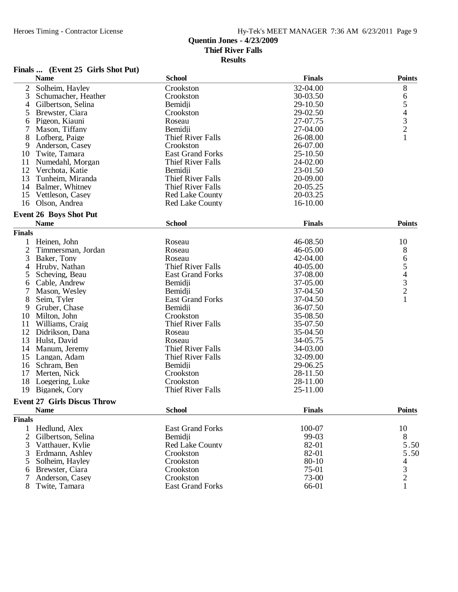| (Event 25 Girls Shot Put) | Finals |  |  |  |  |
|---------------------------|--------|--|--|--|--|
|---------------------------|--------|--|--|--|--|

|                | <b>Name</b>                        | <b>School</b>            | <b>Finals</b> | <b>Points</b>                                   |
|----------------|------------------------------------|--------------------------|---------------|-------------------------------------------------|
| $\overline{2}$ | Solheim, Hayley                    | Crookston                | 32-04.00      | 8                                               |
| 3              | Schumacher, Heather                | Crookston                | 30-03.50      | 6                                               |
| 4              | Gilbertson, Selina                 | Bemidii                  | 29-10.50      |                                                 |
| 5              | Brewster, Ciara                    | Crookston                | 29-02.50      | $\begin{array}{c} 5 \\ 4 \\ 3 \\ 2 \end{array}$ |
| 6              | Pigeon, Kiauni                     | Roseau                   | 27-07.75      |                                                 |
| 7              | Mason, Tiffany                     | Bemidji                  | 27-04.00      |                                                 |
| 8              | Lofberg, Paige                     | <b>Thief River Falls</b> | 26-08.00      | $\mathbf{1}$                                    |
| 9              | Anderson, Casey                    | Crookston                | 26-07.00      |                                                 |
| 10             | Twite, Tamara                      | <b>East Grand Forks</b>  | 25-10.50      |                                                 |
| 11             | Numedahl, Morgan                   | <b>Thief River Falls</b> | 24-02.00      |                                                 |
| 12             | Verchota, Katie                    | Bemidji                  | 23-01.50      |                                                 |
| 13             | Tunheim, Miranda                   | <b>Thief River Falls</b> | 20-09.00      |                                                 |
| 14             | Balmer, Whitney                    | <b>Thief River Falls</b> | 20-05.25      |                                                 |
| 15             | Vettleson, Casey                   | <b>Red Lake County</b>   | 20-03.25      |                                                 |
|                | 16 Olson, Andrea                   | <b>Red Lake County</b>   | 16-10.00      |                                                 |
|                | <b>Event 26 Boys Shot Put</b>      |                          |               |                                                 |
|                | <b>Name</b>                        | <b>School</b>            | <b>Finals</b> | <b>Points</b>                                   |
| <b>Finals</b>  |                                    |                          |               |                                                 |
| 1              | Heinen, John                       | Roseau                   | 46-08.50      | 10                                              |
| $\mathbf{2}$   | Timmersman, Jordan                 | Roseau                   | 46-05.00      | 8                                               |
| 3              | Baker, Tony                        | Roseau                   | 42-04.00      |                                                 |
| 4              | Hruby, Nathan                      | <b>Thief River Falls</b> | 40-05.00      |                                                 |
| 5              | Scheving, Beau                     | <b>East Grand Forks</b>  | 37-08.00      |                                                 |
| 6              | Cable, Andrew                      | Bemidji                  | 37-05.00      | 65432                                           |
| 7              | Mason, Wesley                      | Bemidji                  | 37-04.50      |                                                 |
| 8              | Seim, Tyler                        | <b>East Grand Forks</b>  | 37-04.50      | $\mathbf{1}$                                    |
| 9              | Gruber, Chase                      | Bemidji                  | 36-07.50      |                                                 |
| 10             | Milton, John                       | Crookston                | 35-08.50      |                                                 |
| 11             | Williams, Craig                    | Thief River Falls        | 35-07.50      |                                                 |
| 12             | Didrikson, Dana                    | Roseau                   | 35-04.50      |                                                 |
| 13             | Hulst, David                       | Roseau                   | 34-05.75      |                                                 |
| 14             | Manum, Jeremy                      | <b>Thief River Falls</b> | 34-03.00      |                                                 |
| 15             | Langan, Adam                       | Thief River Falls        | 32-09.00      |                                                 |
| 16             | Schram, Ben                        | Bemidii                  | 29-06.25      |                                                 |
| 17             | Merten, Nick                       | Crookston                | 28-11.50      |                                                 |
| 18             | Loegering, Luke                    | Crookston                | 28-11.00      |                                                 |
| 19             | Biganek, Cory                      | Thief River Falls        | 25-11.00      |                                                 |
|                | <b>Event 27 Girls Discus Throw</b> |                          |               |                                                 |
|                | Name                               | <b>School</b>            | <b>Finals</b> | <b>Points</b>                                   |
| <b>Finals</b>  |                                    |                          |               |                                                 |
| 1              | Hedlund, Alex                      | <b>East Grand Forks</b>  | 100-07        | 10                                              |
| $\overline{2}$ | Gilbertson, Selina                 | Bemidji                  | 99-03         | 8                                               |
| 3              | Vatthauer, Kylie                   | <b>Red Lake County</b>   | 82-01         | 5.50                                            |
| 3              | Erdmann, Ashley                    | Crookston                | 82-01         | 5.50                                            |
| 5              | Solheim, Hayley                    | Crookston                | 80-10         | 4                                               |
| 6              | Brewster, Ciara                    | Crookston                | 75-01         | 3                                               |
| $\overline{7}$ | Anderson, Casey                    | Crookston                | 73-00         | $\overline{c}$                                  |
| 8              | Twite, Tamara                      | <b>East Grand Forks</b>  | 66-01         |                                                 |
|                |                                    |                          |               |                                                 |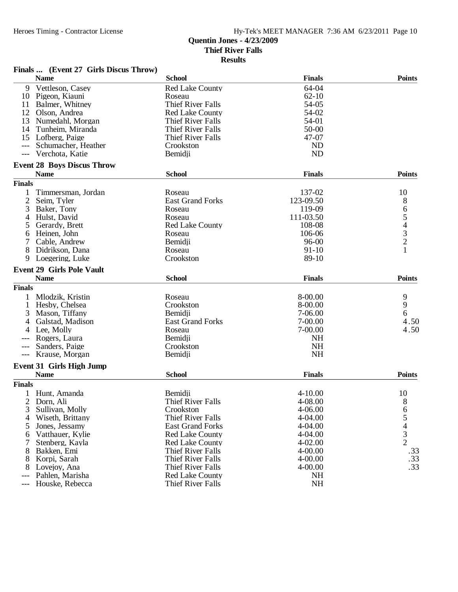|               | Finals  (Event 27 Girls Discus Throw)          |                                                      |               |               |
|---------------|------------------------------------------------|------------------------------------------------------|---------------|---------------|
|               | <b>Name</b>                                    | <b>School</b>                                        | <b>Finals</b> | <b>Points</b> |
| 9             | Vettleson, Casey                               | <b>Red Lake County</b>                               | 64-04         |               |
|               | 10 Pigeon, Kiauni                              | Roseau                                               | $62 - 10$     |               |
| 11            | Balmer, Whitney                                | <b>Thief River Falls</b>                             | 54-05         |               |
| 12            | Olson, Andrea                                  | <b>Red Lake County</b>                               | 54-02         |               |
| 13            | Numedahl, Morgan                               | Thief River Falls                                    | 54-01         |               |
| 14            | Tunheim, Miranda                               | Thief River Falls                                    | 50-00         |               |
| 15            | Lofberg, Paige                                 | Thief River Falls                                    | 47-07         |               |
|               | Schumacher, Heather                            | Crookston                                            | <b>ND</b>     |               |
| $---$         | Verchota, Katie                                | Bemidji                                              | <b>ND</b>     |               |
|               | <b>Event 28 Boys Discus Throw</b>              |                                                      |               |               |
|               | <b>Name</b>                                    | <b>School</b>                                        | <b>Finals</b> | <b>Points</b> |
| <b>Finals</b> |                                                |                                                      |               |               |
| 1             | Timmersman, Jordan                             | Roseau                                               | 137-02        | 10            |
| 2             | Seim, Tyler                                    | <b>East Grand Forks</b>                              | 123-09.50     | 8             |
| 3             | Baker, Tony                                    | Roseau                                               | 119-09        |               |
| 4             | Hulst, David                                   | Roseau                                               | 111-03.50     | 65432         |
| 5             | Gerardy, Brett                                 | <b>Red Lake County</b>                               | 108-08        |               |
| 6             | Heinen, John                                   | Roseau                                               | 106-06        |               |
| 7             | Cable, Andrew                                  | Bemidji                                              | $96 - 00$     |               |
| 8             | Didrikson, Dana                                | Roseau                                               | 91-10         | $\mathbf{1}$  |
| 9             | Loegering, Luke                                | Crookston                                            | 89-10         |               |
|               | <b>Event 29 Girls Pole Vault</b>               |                                                      |               |               |
|               | <b>Name</b>                                    | <b>School</b>                                        | <b>Finals</b> | <b>Points</b> |
| <b>Finals</b> |                                                |                                                      |               |               |
|               | Mlodzik, Kristin                               | Roseau                                               | 8-00.00       | 9             |
| 1             | Hesby, Chelsea                                 | Crookston                                            | 8-00.00       | 9             |
| 3             | Mason, Tiffany                                 | Bemidji                                              | 7-06.00       | 6             |
|               | Galstad, Madison                               | <b>East Grand Forks</b>                              | 7-00.00       | 4.50          |
|               | Lee, Molly                                     | Roseau                                               | 7-00.00       | 4.50          |
|               | Rogers, Laura                                  | Bemidji                                              | <b>NH</b>     |               |
|               | Sanders, Paige                                 | Crookston                                            | <b>NH</b>     |               |
| $---$         | Krause, Morgan                                 | Bemidji                                              | <b>NH</b>     |               |
|               |                                                |                                                      |               |               |
|               | <b>Event 31 Girls High Jump</b><br><b>Name</b> | <b>School</b>                                        | <b>Finals</b> | <b>Points</b> |
| <b>Finals</b> |                                                |                                                      |               |               |
|               | 1 Hunt, Amanda                                 | Bemidji                                              | $4 - 10.00$   | 10            |
| 2             | Dorn, Ali                                      | <b>Thief River Falls</b>                             | 4-08.00       |               |
| 3             | Sullivan, Molly                                | Crookston                                            | 4-06.00       | 8             |
| 4             | Wiseth, Brittany                               | Thief River Falls                                    | 4-04.00       |               |
| 5             | Jones, Jessamy                                 | <b>East Grand Forks</b>                              | $4 - 04.00$   |               |
|               |                                                |                                                      | 4-04.00       |               |
| 6             | Vatthauer, Kylie                               | <b>Red Lake County</b>                               |               | 65432         |
|               | Stenberg, Kayla                                | <b>Red Lake County</b>                               | $4 - 02.00$   |               |
| 8             | Bakken, Emi                                    | <b>Thief River Falls</b><br><b>Thief River Falls</b> | $4 - 00.00$   | .33           |
| 8             | Korpi, Sarah                                   |                                                      | $4 - 00.00$   | .33<br>.33    |
| 8             | Lovejoy, Ana                                   | Thief River Falls                                    | $4 - 00.00$   |               |
|               | Pahlen, Marisha                                | <b>Red Lake County</b>                               | <b>NH</b>     |               |
|               | Houske, Rebecca                                | <b>Thief River Falls</b>                             | NH            |               |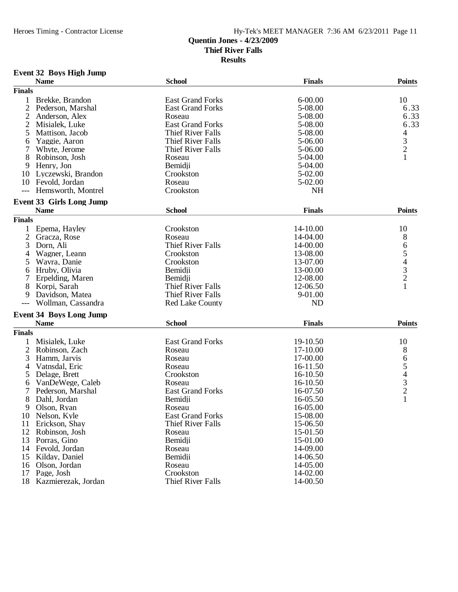**Results**

### **Event 32 Boys High Jump**

|                | <b>Name</b>                     | <b>School</b>            | <b>Finals</b> | <b>Points</b>                                   |
|----------------|---------------------------------|--------------------------|---------------|-------------------------------------------------|
| <b>Finals</b>  |                                 |                          |               |                                                 |
| 1              | Brekke, Brandon                 | <b>East Grand Forks</b>  | $6 - 00.00$   | 10                                              |
| $\overline{2}$ | Pederson, Marshal               | <b>East Grand Forks</b>  | 5-08.00       | 6.33                                            |
| $\overline{c}$ | Anderson, Alex                  | Roseau                   | 5-08.00       | 6.33                                            |
| $\overline{2}$ | Misialek, Luke                  | <b>East Grand Forks</b>  | 5-08.00       | 6.33                                            |
| 5              | Mattison, Jacob                 | Thief River Falls        | 5-08.00       | 4                                               |
| 6              | Yaggie, Aaron                   | <b>Thief River Falls</b> | 5-06.00       |                                                 |
| 7              | Whyte, Jerome                   | Thief River Falls        | 5-06.00       | $\frac{3}{2}$                                   |
| 8              | Robinson, Josh                  | Roseau                   | 5-04.00       |                                                 |
| 9              | Henry, Jon                      | Bemidji                  | 5-04.00       |                                                 |
|                |                                 | Crookston                | 5-02.00       |                                                 |
| 10             | Lyczewski, Brandon              | Roseau                   |               |                                                 |
| 10             | Fevold, Jordan                  |                          | 5-02.00       |                                                 |
| $---$          | Hemsworth, Montrel              | Crookston                | <b>NH</b>     |                                                 |
|                | <b>Event 33 Girls Long Jump</b> |                          |               |                                                 |
|                | <b>Name</b>                     | <b>School</b>            | <b>Finals</b> | <b>Points</b>                                   |
| <b>Finals</b>  |                                 |                          |               |                                                 |
| $\mathbf{1}$   | Epema, Hayley                   | Crookston                | 14-10.00      | 10                                              |
| $\overline{2}$ | Gracza, Rose                    | Roseau                   | 14-04.00      | 8                                               |
| 3              | Dorn, Ali                       | <b>Thief River Falls</b> | 14-00.00      | 6                                               |
| 4              | Wagner, Leann                   | Crookston                | 13-08.00      |                                                 |
| 5              | Wavra, Danie                    | Crookston                | 13-07.00      |                                                 |
| 6              | Hruby, Olivia                   | Bemidji                  | 13-00.00      |                                                 |
| 7              | Erpelding, Maren                | Bemidii                  | 12-08.00      | $\begin{array}{c} 5 \\ 4 \\ 3 \\ 2 \end{array}$ |
| 8              | Korpi, Sarah                    | <b>Thief River Falls</b> | 12-06.50      | $\mathbf{1}$                                    |
| 9              | Davidson, Matea                 | Thief River Falls        | 9-01.00       |                                                 |
|                | Wollman, Cassandra              | <b>Red Lake County</b>   | <b>ND</b>     |                                                 |
| $---$          |                                 |                          |               |                                                 |
|                | <b>Event 34 Boys Long Jump</b>  |                          |               |                                                 |
|                | <b>Name</b>                     | <b>School</b>            | <b>Finals</b> | <b>Points</b>                                   |
| <b>Finals</b>  |                                 |                          |               |                                                 |
| 1              | Misialek, Luke                  | <b>East Grand Forks</b>  | 19-10.50      | 10                                              |
| $\overline{2}$ | Robinson, Zach                  | Roseau                   | 17-10.00      | 8                                               |
| 3              | Hamm, Jarvis                    | Roseau                   | 17-00.00      |                                                 |
| 4              | Vatnsdal, Eric                  | Roseau                   | 16-11.50      |                                                 |
| 5              | Delage, Brett                   | Crookston                | 16-10.50      | 654321                                          |
| 6              | VanDeWege, Caleb                | Roseau                   | 16-10.50      |                                                 |
| 7              | Pederson, Marshal               | <b>East Grand Forks</b>  | 16-07.50      |                                                 |
| 8              | Dahl, Jordan                    | Bemidji                  | 16-05.50      |                                                 |
| 9              | Olson, Ryan                     | Roseau                   | 16-05.00      |                                                 |
| 10             | Nelson, Kyle                    | <b>East Grand Forks</b>  | 15-08.00      |                                                 |
| 11             | Erickson, Shay                  | Thief River Falls        | 15-06.50      |                                                 |
| 12             | Robinson, Josh                  | Roseau                   | 15-01.50      |                                                 |
| 13             | Porras, Gino                    | Bemidji                  | 15-01.00      |                                                 |
|                | 14 Fevold, Jordan               | Roseau                   | 14-09.00      |                                                 |
| 15             | Kilday, Daniel                  | Bemidji                  | 14-06.50      |                                                 |
| 16             | Olson, Jordan                   | Roseau                   | 14-05.00      |                                                 |
| 17             | Page, Josh                      | Crookston                | 14-02.00      |                                                 |
|                |                                 |                          |               |                                                 |
| 18             | Kazmierezak, Jordan             | Thief River Falls        | 14-00.50      |                                                 |